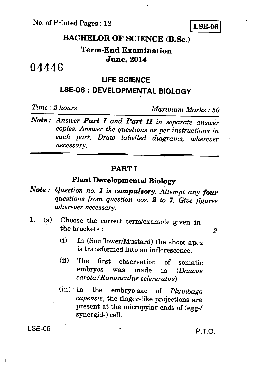No. of Printed Pages : 12

**LSE-06** 

# **BACHELOR OF SCIENCE (B.Sc.)**

## **Term-End Examination June, 2014**

# 04446

#### **LIFE SCIENCE**

# **LSE-06 : DEVELOPMENTAL BIOLOGY**

*Time : 2 hours Maximum Marks : 50* 

*Note : Answer Part I and Part II in separate answer copies. Answer the questions as per instructions in each part. Draw labelled diagrams, wherever necessary.* 

#### **PART I**

### **Plant Developmental Biology**

- *Note : Question no. 1 is compulsory. Attempt any four questions from question nos. 2 to 7. Give figures wherever necessary.*
- **1.** (a) Choose the correct term/example given in the brackets : **2 2**

- (i) In (Sunflower/Mustard) the shoot apex is transformed into an inflorescence.
- (ii) The first observation of somatic<br>embryos was made in  $(Daucus)$ embryos was made in *(Daucus carota I Ranunculus sclereratus).*
- (iii) In the embryo-sac of *Plumbago capensis,* the finger-like projections are present at the micropylar ends of (egg-/ synergid-) cell.

ł

LSE-06 1 P.T.O.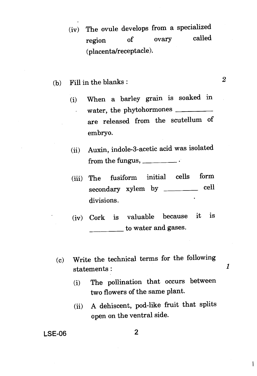- (iv) The ovule develops from a specialized region of ovary called (placenta/receptacle).
- (b) Fill in the blanks :  $2$ 
	- (i) When a barley grain is soaked in water, the phytohormones  $\tilde{\mathbf{v}}$ are released from the scutellum of embryo.
	- (ii) Auxin, indole-3-acetic acid was isolated from the fungus,
	- (iii) The fusiform initial cells form secondary xylem by \_\_\_\_\_\_\_ cell divisions.
	- (iv) Cork is valuable because it is to water and gases.
	- (c) Write the technical terms for the following statements :
		- (i) The pollination that occurs between two flowers of the same plant.

 $\boldsymbol{\mathit{1}}$ 

 $\overline{1}$ 

(ii) A dehiscent, pod-like fruit that splits open on the ventral side.

**LSE-06 2**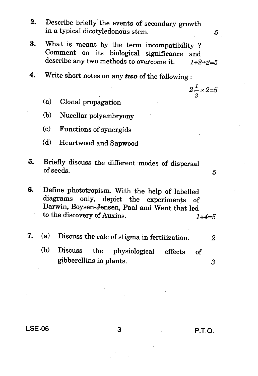- **2.** Describe briefly the events of secondary growth in a typical dicotyledonous stem.
- **3.** What is meant by the term incompatibility ? Comment on its biological significance and describe any two methods to overcome it. *1+2+2=5*
- **4.** Write short notes on any *two* of the following
	- (a) Clonal propagation
	- (b) Nucellar polyembryony
	- (c) Functions of synergids
	- (d) Heartwood and Sapwood
- **5.** Briefly discuss the different modes of dispersal of seeds.
- **6.** Define phototropism. With the help of labelled diagrams only, depict the experiments of Darwin, Boysen-Jensen, Paal and Went that led to the discovery of Auxins. *1+4=5*
- *7.* (a) Discuss the role of stigma in fertilization. *2* 
	- (b) Discuss the physiological effects of gibberellins in plants. 3

**LSE-06** 3 **P.T.O.** 

 $2\frac{2}{2} \times 2=5$ 

5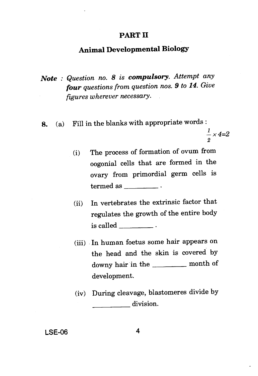#### **PART II**

### **Animal Developmental Biology**

- *Note : Question no. 8 is compulsory. Attempt any four questions from question nos. 9 to 14. Give figures wherever necessary.*
- **8.** (a) Fill in the blanks with appropriate words :

 $\frac{1}{2}$  *x* 4=2 *2* 

- (i) The process of formation of ovum from oogonial cells that are formed in the ovary from primordial germ cells is  $termed$  as  $\_\_\_\_\_\_\_\_\$ .
- (ii) In vertebrates the extrinsic factor that regulates the growth of the entire body is called
- (iii) In human foetus some hair appears on the head and the skin is covered by downy hair in the \_\_\_\_\_\_\_ month of development.
- (iv) During cleavage, blastomeres divide by division.

**LSE-06 4**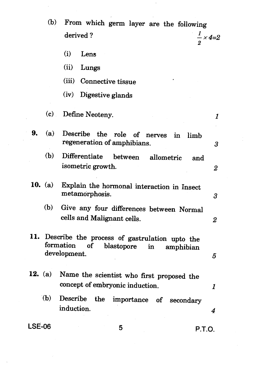|           | (b)<br>From which germ layer are the following                                                                                              |                           |
|-----------|---------------------------------------------------------------------------------------------------------------------------------------------|---------------------------|
|           | derived?<br>$\frac{1}{2}$ × 4=2                                                                                                             |                           |
|           | (i)<br>Lens                                                                                                                                 |                           |
|           | (ii)<br>Lungs                                                                                                                               |                           |
|           | (iii) Connective tissue                                                                                                                     |                           |
|           | (iv)<br>Digestive glands                                                                                                                    |                           |
|           | (c)<br>Define Neoteny.                                                                                                                      | 1                         |
| 9.<br>(a) | Describe the role of nerves in limb<br>regeneration of amphibians.                                                                          | 3                         |
| (b)       | Differentiate between<br>allometric<br>and<br>isometric growth.                                                                             | $\boldsymbol{2}$          |
| 10. (a)   | Explain the hormonal interaction in Insect<br>metamorphosis.                                                                                | 3                         |
| (b)       | Give any four differences between Normal<br>cells and Malignant cells.                                                                      | 2                         |
|           | 11. Describe the process of gastrulation upto the<br>formation<br><sub>of</sub><br>blastopore<br>$\mathbf{in}$<br>amphibian<br>development. | 5                         |
| 12. (a)   | Name the scientist who first proposed the<br>concept of embryonic induction.                                                                | $\boldsymbol{\mathit{1}}$ |
| (b)       | Describe the<br>importance<br>of<br>secondary<br>induction.                                                                                 | 4                         |
|           |                                                                                                                                             |                           |

 $\mathcal{I}_\mathrm{c}$ 

 $\label{eq:2.1} \frac{1}{\sqrt{2}}\left(\frac{1}{\sqrt{2}}\right)^{2} \left(\frac{1}{\sqrt{2}}\right)^{2} \left(\frac{1}{\sqrt{2}}\right)^{2} \left(\frac{1}{\sqrt{2}}\right)^{2} \left(\frac{1}{\sqrt{2}}\right)^{2} \left(\frac{1}{\sqrt{2}}\right)^{2} \left(\frac{1}{\sqrt{2}}\right)^{2} \left(\frac{1}{\sqrt{2}}\right)^{2} \left(\frac{1}{\sqrt{2}}\right)^{2} \left(\frac{1}{\sqrt{2}}\right)^{2} \left(\frac{1}{\sqrt{2}}\right)^{2} \left(\$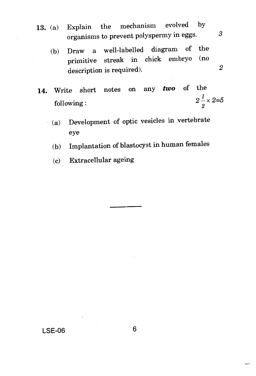- 13. (a) Explain the mechanism evolved by organisms to prevent polyspermy in eggs.  $3$ 
	- (b) Draw a well-labelled diagram of the<br>minimitive streak in chick embryo (no primitive streak in chick embryo description is required). 2
- 14. Write short notes on any *two* of the following :  $2\frac{1}{2} \times 2=5$ 
	- (a) Development of optic vesicles in vertebrate eye
	- (b) Implantation of blastocyst in human females
	- (c) Extracellular ageing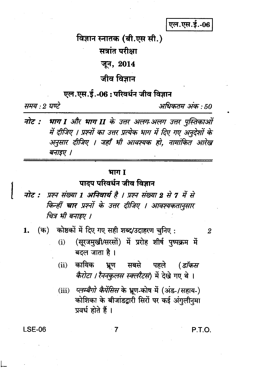#### एल.एस.ई.-06

विज्ञान स्नातक (बी.एस सी.)

सत्रांत परीक्षा

# जून, 2014

जीव विज्ञान

## एल.एस.ई.-06 : परिवर्धन जीव विज्ञान

समय : 2 घण्टे

अधिकतम अंक : 50

नोट : भाग I और भाग II के उत्तर अलग-अलग उत्तर पुस्तिकाओं में दीजिए । प्रश्नों का उत्तर प्रत्येक भाग में दिए गए अनुदेशों के अनुसार दीजिए । जहाँ भी आवश्यक हो, नामांकित आरेख बनाइए ।

#### भाग I

#### पादप परिवर्धन जीव विज्ञान

नोट : प्रश्न संख्या 1 अनिवार्य है । प्रश्न संख्या 2 से 7 में से किन्हीं **चार** प्रश्नों के उत्तर दीजिए । आवश्यकतानुसार चित्र भी बनाइए ।

(क) कोष्ठकों में दिए गए सही शब्द/उदाहरण चुनिए : 1.

- (सूरजमुखी/सरसों) में प्ररोह शीर्ष पुष्पक्रम में  $(i)$ बदल जाता है ।
- कायिक सबसे पहले (डॉकस  $(ii)$ भ्रूण *कैरोटा । रैननकुलस स्क्लरैटस*) में देखे गए थे ।
- प्लम्बैगो कैपेंसिस के भ्रूण-कोष में (अंड-/सहाय-)  $(iii)$ कोशिका के बीजांडद्वारी सिरों पर कई अंगुलीनमा प्रवर्ध होते हैं ।

 $\overline{7}$ 

**LSE-06** 

P.T.O.

 $\overline{2}$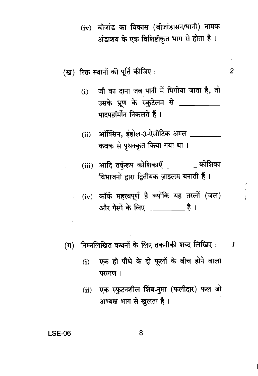(iv) बीजांड का विकास (बीजांडासन/धानी) नामक अंडाशय के एक विशिष्टीकृत भाग से होता है।

जौ का दाना जब पानी में भिगोया जाता है, तो  $(i)$ उसके भ्रूण के स्कुटेलम से \_\_\_\_\_\_\_\_\_ पादपहॉर्मोन निकलते हैं।

 $\boldsymbol{2}$ 

- ऑक्सिन, इंडोल-3-ऐसीटिक अम्ल \_\_\_\_\_\_\_\_  $(ii)$ कवक से पृथक्कृत किया गया था।
- (iii) आदि तर्कुरूप कोशिकाएँ \_\_\_\_\_\_\_ कोशिका विभाजनों द्वारा द्वितीयक ज़ाइलम बनाती हैं।
- $(iv)$  कॉर्क महत्त्वपूर्ण है क्योंकि यह तरलों (जल) और गैसों के लिए बाद है।
- निम्नलिखित कथनों के लिए तकनीकी शब्द लिखिए :  $(\pi)$  $\boldsymbol{I}$ 
	- एक ही पौधे के दो फूलों के बीच होने वाला  $(i)$ परागण ।
	- (ii) एक स्फुटनशील शिंब-नुमा (फलीदार) फल जो अभ्यक्ष भाग से खुलता है।

**LSE-06**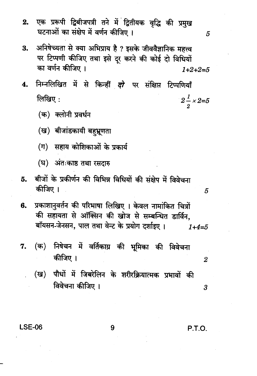- एक प्ररूपी द्विबीजपत्री तने में द्वितीयक वृद्धि की प्रमुख  $2.$ घटनाओं का संक्षेप में वर्णन कीजिए ।
- अनिषेच्यता से क्या अभिप्राय है ? इसके जीववैज्ञानिक महत्त्व 3. पर टिप्पणी कीजिए तथा इसे दूर करने की कोई दो विधियों का वर्णन कीजिए ।  $1+2+2=5$
- निम्नलिखित में से किन्हीं दो पर संक्षिप्त टिप्पणियाँ 4. लिखिए $:$  $2\frac{1}{2} \times 2=5$ 
	- (क) क्लोनी प्रवर्धन
	- (ख) बीजांडकायी बहभ्रणता
	- (ग) सहाय कोशिकाओं के प्रकार्य
	- (घ) अंतःकाष्ठ तथा रसदारु
- बीजों के प्रकीर्णन की विभिन्न विधियों की संक्षेप में विवेचना 5. कीजिए ।
- प्रकाशानुवर्तन की परिभाषा लिखिए। केवल नामांकित चित्रों 6. की सहायता से ऑक्सिन की खोज से सम्बन्धित डार्विन. बॉयसन-जेनसन, पाल तथा वेन्ट के प्रयोग दर्शाइए।  $1+4=5$
- (क) निषेचन में वर्तिकाग्र की भूमिका की विवेचना 7. कीजिए ।
	- (ख) पौधों में जिबरेलिन के शरीरक्रियात्मक प्रभावों की विवेचना कीजिए ।

**LSE-06** 

P.T.O.

5

5

 $\overline{2}$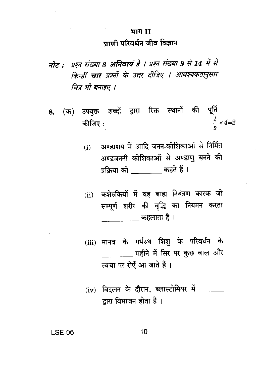# भाग II प्राणी परिवर्धन जीव विज्ञान

- नोट : प्रश्न संख्या 8 अनिवार्य है । प्रश्न संख्या 9 से 14 में से किन्हीं चार प्रश्नों के उत्तर दीजिए । आवश्यकतानुसार चित्र भी बनाइए ।
- 8. (क) उपयुक्त शब्दों द्वारा रिक्त स्थानों की पूर्ति  $\frac{1}{2} \times 4 = 2$ कीजिए:
	- अण्डाशय में आदि जनन-कोशिकाओं से निर्मित  $(i)$ अण्डजननी कोशिकाओं से अण्डाणु बनने की प्रक्रिया को कहते हैं।
	- (ii) कशेरुकियों में वह बाह्य नियंत्रण कारक जो सम्पूर्ण शरीर की वृद्धि का नियमन करता \_\_\_\_\_\_\_ कहलाता है।
	- (iii) मानव के गर्भस्थ शिशू के परिवर्धन के महीने में सिर पर कुछ बाल और त्वचा पर रोएँ आ जाते हैं।
	- (iv) विदलन के दौरान, ब्लास्टोमियर में  $\overline{\phantom{a}}$ द्वारा विभाजन होता है।

**LSE-06**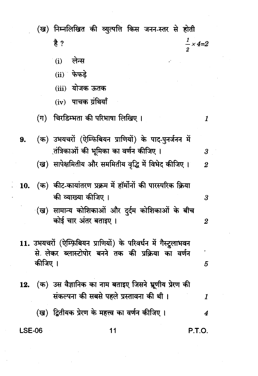|               |         | (ख) निम्नलिखित की व्युत्पत्ति किस जनन-स्तर से होती                                                                    |                            |
|---------------|---------|-----------------------------------------------------------------------------------------------------------------------|----------------------------|
|               |         | है ?                                                                                                                  | $\frac{1}{2} \times 4 = 2$ |
|               |         | लेन्स<br>(i)                                                                                                          |                            |
|               |         | $(ii)$ फेफड़े                                                                                                         |                            |
|               |         | (iii) योजक ऊतक                                                                                                        |                            |
|               |         | $(iv)$ पाचक ग्रंथियाँ                                                                                                 |                            |
|               |         | (ग)   चिरडिम्भता की परिभाषा लिखिए ।                                                                                   | 1                          |
| 9.            |         | (क) उभयचरों (ऐम्फिबियन प्राणियों) के पाद-पुनर्जनन में                                                                 |                            |
|               |         | ्तंत्रिकाओं की भूमिका का वर्णन कीजिए ।                                                                                | $\boldsymbol{\beta}$       |
|               |         | (ख)  सापेक्षमितीय और सममितीय वृद्धि में विभेद कीजिए ।                                                                 | $\overline{2}$             |
| 10.           |         | (क)  कीट-कायांतरण प्रक्रम में हॉर्मोनों की पारस्परिक क्रिया                                                           |                            |
|               |         | की व्याख्या कीजिए ।                                                                                                   | 3                          |
|               |         | (ख) सामान्य कोशिकाओं और दुर्दम कोशिकाओं के बीच<br>कोई चार अंतर बताइए ।                                                | 2                          |
|               |         |                                                                                                                       |                            |
|               |         | 11. उभयचरों (ऐम्फ़िबियन प्राणियों) के परिवर्धन में गैस्ट्रुलाभवन<br>से लेकर ब्लास्टोपोर बनने तक की प्रक्रिया का वर्णन |                            |
|               | कीजिए । |                                                                                                                       | 5                          |
| 12.           |         | (क)  उस वैज्ञानिक का नाम बताइए जिसने भ्रूणीय प्रेरण की                                                                |                            |
|               |         | संकल्पना की सबसे पहले प्रस्तावना की थी।                                                                               | 1                          |
|               |         | (ख) द्वितीयक प्रेरण के महत्त्व का वर्णन कीजिए ।                                                                       | 4                          |
| <b>LSE-06</b> |         | 11                                                                                                                    | P.T.O.                     |
|               |         |                                                                                                                       |                            |
|               |         |                                                                                                                       |                            |
|               |         |                                                                                                                       |                            |